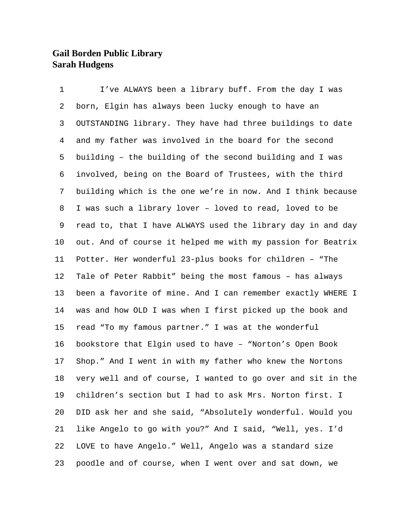## **Gail Borden Public Library Sarah Hudgens**

 I've ALWAYS been a library buff. From the day I was born, Elgin has always been lucky enough to have an OUTSTANDING library. They have had three buildings to date and my father was involved in the board for the second building – the building of the second building and I was involved, being on the Board of Trustees, with the third building which is the one we're in now. And I think because I was such a library lover – loved to read, loved to be read to, that I have ALWAYS used the library day in and day out. And of course it helped me with my passion for Beatrix Potter. Her wonderful 23-plus books for children – "The Tale of Peter Rabbit" being the most famous – has always been a favorite of mine. And I can remember exactly WHERE I was and how OLD I was when I first picked up the book and read "To my famous partner." I was at the wonderful bookstore that Elgin used to have – "Norton's Open Book Shop." And I went in with my father who knew the Nortons very well and of course, I wanted to go over and sit in the children's section but I had to ask Mrs. Norton first. I DID ask her and she said, "Absolutely wonderful. Would you like Angelo to go with you?" And I said, "Well, yes. I'd LOVE to have Angelo." Well, Angelo was a standard size poodle and of course, when I went over and sat down, we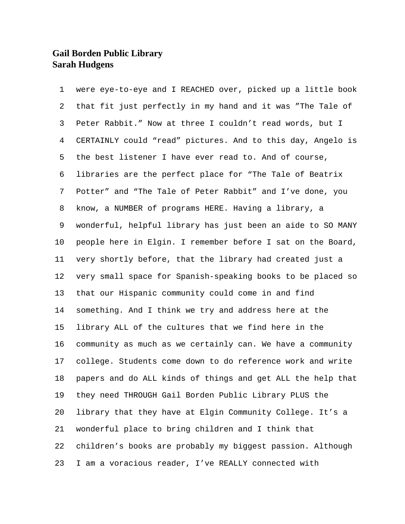## **Gail Borden Public Library Sarah Hudgens**

 were eye-to-eye and I REACHED over, picked up a little book that fit just perfectly in my hand and it was "The Tale of Peter Rabbit." Now at three I couldn't read words, but I CERTAINLY could "read" pictures. And to this day, Angelo is the best listener I have ever read to. And of course, libraries are the perfect place for "The Tale of Beatrix Potter" and "The Tale of Peter Rabbit" and I've done, you know, a NUMBER of programs HERE. Having a library, a wonderful, helpful library has just been an aide to SO MANY people here in Elgin. I remember before I sat on the Board, very shortly before, that the library had created just a very small space for Spanish-speaking books to be placed so that our Hispanic community could come in and find something. And I think we try and address here at the library ALL of the cultures that we find here in the community as much as we certainly can. We have a community college. Students come down to do reference work and write papers and do ALL kinds of things and get ALL the help that they need THROUGH Gail Borden Public Library PLUS the library that they have at Elgin Community College. It's a wonderful place to bring children and I think that children's books are probably my biggest passion. Although I am a voracious reader, I've REALLY connected with